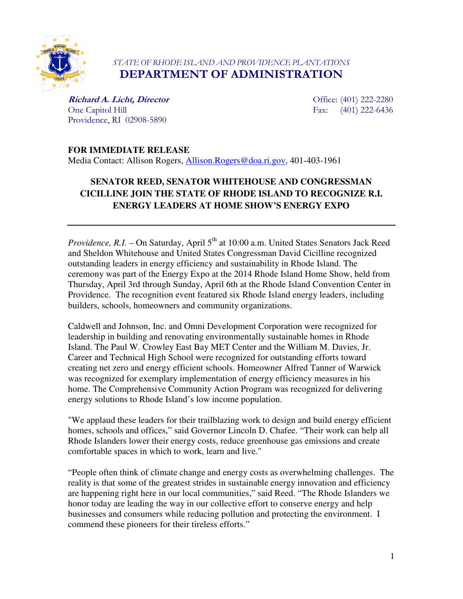

## STATE OF RHODE ISLAND AND PROVIDENCE PLANTATIONS DEPARTMENT OF ADMINISTRATION

Richard A. Licht, Director Office: (401) 222-2280 One Capitol Hill Fax: (401) 222-6436 Providence, RI 02908-5890

## **FOR IMMEDIATE RELEASE**

Media Contact: Allison Rogers, Allison.Rogers@doa.ri.gov, 401-403-1961

## **SENATOR REED, SENATOR WHITEHOUSE AND CONGRESSMAN CICILLINE JOIN THE STATE OF RHODE ISLAND TO RECOGNIZE R.I. ENERGY LEADERS AT HOME SHOW'S ENERGY EXPO**

*Providence, R.I.* – On Saturday, April 5<sup>th</sup> at 10:00 a.m. United States Senators Jack Reed and Sheldon Whitehouse and United States Congressman David Cicilline recognized outstanding leaders in energy efficiency and sustainability in Rhode Island. The ceremony was part of the Energy Expo at the 2014 Rhode Island Home Show, held from Thursday, April 3rd through Sunday, April 6th at the Rhode Island Convention Center in Providence. The recognition event featured six Rhode Island energy leaders, including builders, schools, homeowners and community organizations.

Caldwell and Johnson, Inc. and Omni Development Corporation were recognized for leadership in building and renovating environmentally sustainable homes in Rhode Island. The Paul W. Crowley East Bay MET Center and the William M. Davies, Jr. Career and Technical High School were recognized for outstanding efforts toward creating net zero and energy efficient schools. Homeowner Alfred Tanner of Warwick was recognized for exemplary implementation of energy efficiency measures in his home. The Comprehensive Community Action Program was recognized for delivering energy solutions to Rhode Island's low income population.

"We applaud these leaders for their trailblazing work to design and build energy efficient homes, schools and offices," said Governor Lincoln D. Chafee. "Their work can help all Rhode Islanders lower their energy costs, reduce greenhouse gas emissions and create comfortable spaces in which to work, learn and live."

"People often think of climate change and energy costs as overwhelming challenges. The reality is that some of the greatest strides in sustainable energy innovation and efficiency are happening right here in our local communities," said Reed. "The Rhode Islanders we honor today are leading the way in our collective effort to conserve energy and help businesses and consumers while reducing pollution and protecting the environment. I commend these pioneers for their tireless efforts."